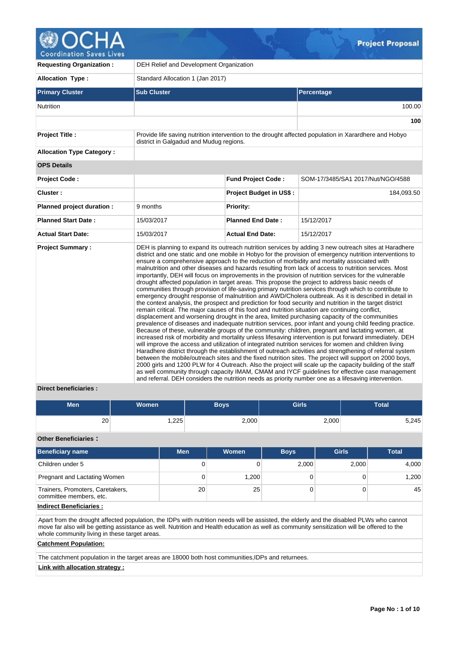**Project Proposal** 

**Coordination Saves Lives** 

| <b>Requesting Organization:</b>  | DEH Relief and Development Organization                                                         |                                |                                                                                                                                                                                                                                                                                                                                                                                                                                                                                                                                                                                                                                                                                                                                                                                                                                                                                                                                                                                                                                                                                                                                                                                                                                                                                                                                                                                                                                                                                                                                                                                                                                                                                                                                                                                                                                                                                                                                                                                                                                                            |  |  |  |  |  |
|----------------------------------|-------------------------------------------------------------------------------------------------|--------------------------------|------------------------------------------------------------------------------------------------------------------------------------------------------------------------------------------------------------------------------------------------------------------------------------------------------------------------------------------------------------------------------------------------------------------------------------------------------------------------------------------------------------------------------------------------------------------------------------------------------------------------------------------------------------------------------------------------------------------------------------------------------------------------------------------------------------------------------------------------------------------------------------------------------------------------------------------------------------------------------------------------------------------------------------------------------------------------------------------------------------------------------------------------------------------------------------------------------------------------------------------------------------------------------------------------------------------------------------------------------------------------------------------------------------------------------------------------------------------------------------------------------------------------------------------------------------------------------------------------------------------------------------------------------------------------------------------------------------------------------------------------------------------------------------------------------------------------------------------------------------------------------------------------------------------------------------------------------------------------------------------------------------------------------------------------------------|--|--|--|--|--|
| <b>Allocation Type:</b>          | Standard Allocation 1 (Jan 2017)                                                                |                                |                                                                                                                                                                                                                                                                                                                                                                                                                                                                                                                                                                                                                                                                                                                                                                                                                                                                                                                                                                                                                                                                                                                                                                                                                                                                                                                                                                                                                                                                                                                                                                                                                                                                                                                                                                                                                                                                                                                                                                                                                                                            |  |  |  |  |  |
| <b>Primary Cluster</b>           | <b>Sub Cluster</b>                                                                              |                                | Percentage                                                                                                                                                                                                                                                                                                                                                                                                                                                                                                                                                                                                                                                                                                                                                                                                                                                                                                                                                                                                                                                                                                                                                                                                                                                                                                                                                                                                                                                                                                                                                                                                                                                                                                                                                                                                                                                                                                                                                                                                                                                 |  |  |  |  |  |
| <b>Nutrition</b>                 |                                                                                                 |                                | 100.00                                                                                                                                                                                                                                                                                                                                                                                                                                                                                                                                                                                                                                                                                                                                                                                                                                                                                                                                                                                                                                                                                                                                                                                                                                                                                                                                                                                                                                                                                                                                                                                                                                                                                                                                                                                                                                                                                                                                                                                                                                                     |  |  |  |  |  |
|                                  |                                                                                                 |                                | 100                                                                                                                                                                                                                                                                                                                                                                                                                                                                                                                                                                                                                                                                                                                                                                                                                                                                                                                                                                                                                                                                                                                                                                                                                                                                                                                                                                                                                                                                                                                                                                                                                                                                                                                                                                                                                                                                                                                                                                                                                                                        |  |  |  |  |  |
| <b>Project Title:</b>            | district in Galgadud and Mudug regions.                                                         |                                | Provide life saving nutrition intervention to the drought affected population in Xarardhere and Hobyo                                                                                                                                                                                                                                                                                                                                                                                                                                                                                                                                                                                                                                                                                                                                                                                                                                                                                                                                                                                                                                                                                                                                                                                                                                                                                                                                                                                                                                                                                                                                                                                                                                                                                                                                                                                                                                                                                                                                                      |  |  |  |  |  |
| <b>Allocation Type Category:</b> |                                                                                                 |                                |                                                                                                                                                                                                                                                                                                                                                                                                                                                                                                                                                                                                                                                                                                                                                                                                                                                                                                                                                                                                                                                                                                                                                                                                                                                                                                                                                                                                                                                                                                                                                                                                                                                                                                                                                                                                                                                                                                                                                                                                                                                            |  |  |  |  |  |
| <b>OPS Details</b>               |                                                                                                 |                                |                                                                                                                                                                                                                                                                                                                                                                                                                                                                                                                                                                                                                                                                                                                                                                                                                                                                                                                                                                                                                                                                                                                                                                                                                                                                                                                                                                                                                                                                                                                                                                                                                                                                                                                                                                                                                                                                                                                                                                                                                                                            |  |  |  |  |  |
| <b>Project Code:</b>             |                                                                                                 | <b>Fund Project Code:</b>      | SOM-17/3485/SA1 2017/Nut/NGO/4588                                                                                                                                                                                                                                                                                                                                                                                                                                                                                                                                                                                                                                                                                                                                                                                                                                                                                                                                                                                                                                                                                                                                                                                                                                                                                                                                                                                                                                                                                                                                                                                                                                                                                                                                                                                                                                                                                                                                                                                                                          |  |  |  |  |  |
| Cluster:                         |                                                                                                 | <b>Project Budget in US\$:</b> | 184,093.50                                                                                                                                                                                                                                                                                                                                                                                                                                                                                                                                                                                                                                                                                                                                                                                                                                                                                                                                                                                                                                                                                                                                                                                                                                                                                                                                                                                                                                                                                                                                                                                                                                                                                                                                                                                                                                                                                                                                                                                                                                                 |  |  |  |  |  |
| Planned project duration :       | 9 months                                                                                        | <b>Priority:</b>               |                                                                                                                                                                                                                                                                                                                                                                                                                                                                                                                                                                                                                                                                                                                                                                                                                                                                                                                                                                                                                                                                                                                                                                                                                                                                                                                                                                                                                                                                                                                                                                                                                                                                                                                                                                                                                                                                                                                                                                                                                                                            |  |  |  |  |  |
| <b>Planned Start Date:</b>       | 15/03/2017                                                                                      | <b>Planned End Date:</b>       | 15/12/2017                                                                                                                                                                                                                                                                                                                                                                                                                                                                                                                                                                                                                                                                                                                                                                                                                                                                                                                                                                                                                                                                                                                                                                                                                                                                                                                                                                                                                                                                                                                                                                                                                                                                                                                                                                                                                                                                                                                                                                                                                                                 |  |  |  |  |  |
| <b>Actual Start Date:</b>        | 15/03/2017                                                                                      | <b>Actual End Date:</b>        | 15/12/2017                                                                                                                                                                                                                                                                                                                                                                                                                                                                                                                                                                                                                                                                                                                                                                                                                                                                                                                                                                                                                                                                                                                                                                                                                                                                                                                                                                                                                                                                                                                                                                                                                                                                                                                                                                                                                                                                                                                                                                                                                                                 |  |  |  |  |  |
| <b>Project Summary:</b>          | remain critical. The major causes of this food and nutrition situation are continuing conflict, |                                | DEH is planning to expand its outreach nutrition services by adding 3 new outreach sites at Haradhere<br>district and one static and one mobile in Hobyo for the provision of emergency nutrition interventions to<br>ensure a comprehensive approach to the reduction of morbidity and mortality associated with<br>malnutrition and other diseases and hazards resulting from lack of access to nutrition services. Most<br>importantly, DEH will focus on improvements in the provision of nutrition services for the vulnerable<br>drought affected population in target areas. This propose the project to address basic needs of<br>communities through provision of life-saving primary nutrition services through which to contribute to<br>emergency drought response of malnutrition and AWD/Cholera outbreak. As it is described in detail in<br>the context analysis, the prospect and prediction for food security and nutrition in the target district<br>displacement and worsening drought in the area, limited purchasing capacity of the communities<br>prevalence of diseases and inadequate nutrition services, poor infant and young child feeding practice.<br>Because of these, vulnerable groups of the community: children, pregnant and lactating women, at<br>increased risk of morbidity and mortality unless lifesaving intervention is put forward immediately. DEH<br>will improve the access and utilization of integrated nutrition services for women and children living<br>Haradhere district through the establishment of outreach activities and strengthening of referral system<br>between the mobile/outreach sites and the fixed nutrition sites. The project will support on 2000 boys,<br>2000 girls and 1200 PLW for 4 Outreach. Also the project will scale up the capacity building of the staff<br>as well community through capacity IMAM, CMAM and IYCF guidelines for effective case management<br>and referral. DEH considers the nutrition needs as priority number one as a lifesaving intervention. |  |  |  |  |  |

# **Direct beneficiaries :**

| <b>Men</b> | <b>Women</b> | <b>Boys</b> | <b>Girls</b> | Total |
|------------|--------------|-------------|--------------|-------|
| 20         | ,225         | 2,000       | 2,000        | 5,245 |

**Other Beneficiaries :**

| <b>Beneficiary name</b>                                     | <b>Men</b> | Women | <b>Boys</b> | <b>Girls</b> | <b>Total</b> |
|-------------------------------------------------------------|------------|-------|-------------|--------------|--------------|
| Children under 5                                            | 0          |       | 2,000       | 2,000        | 4,000        |
| Pregnant and Lactating Women                                | 0          | 1,200 |             |              | 1,200        |
| Trainers, Promoters, Caretakers,<br>committee members, etc. | 20         | 25    |             |              | 45           |

# **Indirect Beneficiaries :**

Apart from the drought affected population, the IDPs with nutrition needs will be assisted, the elderly and the disabled PLWs who cannot move far also will be getting assistance as well. Nutrition and Health education as well as community sensitization will be offered to the whole community living in these target areas.

# **Catchment Population:**

The catchment population in the target areas are 18000 both host communities, IDPs and returnees.

# **Link with allocation strategy :**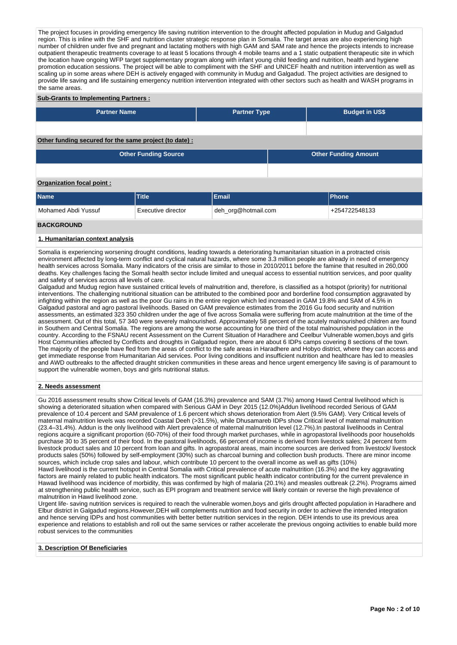The project focuses in providing emergency life saving nutrition intervention to the drought affected population in Mudug and Galgadud region. This is inline with the SHF and nutrition cluster strategic response plan in Somalia. The target areas are also experiencing high number of children under five and pregnant and lactating mothers with high GAM and SAM rate and hence the projects intends to increase outpatient therapeutic treatments coverage to at least 5 locations through 4 mobile teams and a 1 static outpatient therapeutic site in which the location have ongoing WFP target supplementary program along with infant young child feeding and nutrition, health and hygiene promotion education sessions. The project will be able to compliment with the SHF and UNICEF health and nutrition intervention as well as scaling up in some areas where DEH is actively engaged with community in Mudug and Galgadud. The project activities are designed to provide life saving and life sustaining emergency nutrition intervention integrated with other sectors such as health and WASH programs in the same areas.

#### **Sub-Grants to Implementing Partners :**

| <b>Partner Name</b>                                   | <b>Partner Type</b> | <b>Budget in US\$</b>       |
|-------------------------------------------------------|---------------------|-----------------------------|
|                                                       |                     |                             |
|                                                       |                     |                             |
|                                                       |                     |                             |
| Other funding secured for the same project (to date): |                     |                             |
| <b>Other Funding Source</b>                           |                     | <b>Other Funding Amount</b> |
|                                                       |                     |                             |

#### **Organization focal point :**

| <b>Name</b>         | Title              | Email               | <b>IPhone</b> |
|---------------------|--------------------|---------------------|---------------|
| Mohamed Abdi Yussuf | Executive director | deh_org@hotmail.com | +254722548133 |
| <b>BACKGROUND</b>   |                    |                     |               |

### **1. Humanitarian context analysis**

Somalia is experiencing worsening drought conditions, leading towards a deteriorating humanitarian situation in a protracted crisis environment affected by long-term conflict and cyclical natural hazards, where some 3.3 million people are already in need of emergency health services across Somalia. Many indicators of the crisis are similar to those in 2010/2011 before the famine that resulted in 260,000 deaths. Key challenges facing the Somali health sector include limited and unequal access to essential nutrition services, and poor quality and safety of services across all levels of care.

Galgadud and Mudug region have sustained critical levels of malnutrition and, therefore, is classified as a hotspot (priority) for nutritional interventions. The challenging nutritional situation can be attributed to the combined poor and borderline food consumption aggravated by infighting within the region as well as the poor Gu rains in the entire region which led increased in GAM 19.8% and SAM of 4.5% in Galgadud pastoral and agro pastoral livelihoods. Based on GAM prevalence estimates from the 2016 Gu food security and nutrition assessments, an estimated 323 350 children under the age of five across Somalia were suffering from acute malnutrition at the time of the assessment. Out of this total, 57 340 were severely malnourished. Approximately 58 percent of the acutely malnourished children are found in Southern and Central Somalia. The regions are among the worse accounting for one third of the total malnourished population in the country. According to the FSNAU recent Assessment on the Current Situation of Haradhere and Ceelbur Vulnerable women,boys and girls Host Communities affected by Conflicts and droughts in Galgadud region, there are about 6 IDPs camps covering 8 sections of the town. The majority of the people have fled from the areas of conflict to the safe areas in Haradhere and Hobyo district, where they can access and get immediate response from Humanitarian Aid services. Poor living conditions and insufficient nutrition and healthcare has led to measles and AWD outbreaks to the affected draught stricken communities in these areas and hence urgent emergency life saving is of paramount to support the vulnerable women, boys and girls nutritional status.

#### **2. Needs assessment**

Gu 2016 assessment results show Critical levels of GAM (16.3%) prevalence and SAM (3.7%) among Hawd Central livelihood which is showing a deteriorated situation when compared with Serious GAM in Deyr 2015 (12.0%)Addun livelihood recorded Serious of GAM prevalence of 10.4 percent and SAM prevalence of 1.6 percent which shows deterioration from Alert (9.5% GAM). Very Critical levels of maternal malnutrition levels was recorded Coastal Deeh (>31.5%), while Dhusamareb IDPs show Critical level of maternal malnutrition (23.4–31.4%). Addun is the only livelihood with Alert prevalence of maternal malnutrition level (12.7%).In pastoral livelihoods in Central regions acquire a significant proportion (60-70%) of their food through market purchases, while in agropastoral livelihoods poor households purchase 30 to 35 percent of their food. In the pastoral livelihoods, 66 percent of income is derived from livestock sales; 24 percent form livestock product sales and 10 percent from loan and gifts. In agropastoral areas, main income sources are derived from livestock/ livestock products sales (50%) followed by self-employment (30%) such as charcoal burning and collection bush products. There are minor income sources, which include crop sales and labour, which contribute 10 percent to the overall income as well as gifts (10%) Hawd livelihood is the current hotspot in Central Somalia with Critical prevalence of acute malnutrition (16.3%) and the key aggravating factors are mainly related to public health indicators. The most significant public health indicator contributing for the current prevalence in Hawad livelihood was incidence of morbidity, this was confirmed by high of malaria (20.1%) and measles outbreak (2.2%). Programs aimed at strengthening public health service, such as EPI program and treatment service will likely contain or reverse the high prevalence of malnutrition in Hawd livelihood zone.

Urgent life- saving nutrition services is required to reach the vulnerable women,boys and girls drought affected population in Haradhere and Elbur district in Galgadud regions.However,DEH will complements nutrition and food security in order to achieve the intended integration and hence serving IDPs and host communities with better better nutrition services in the region. DEH intends to use its previous area experience and relations to establish and roll out the same services or rather accelerate the previous ongoing activities to enable build more robust services to the communities

#### **3. Description Of Beneficiaries**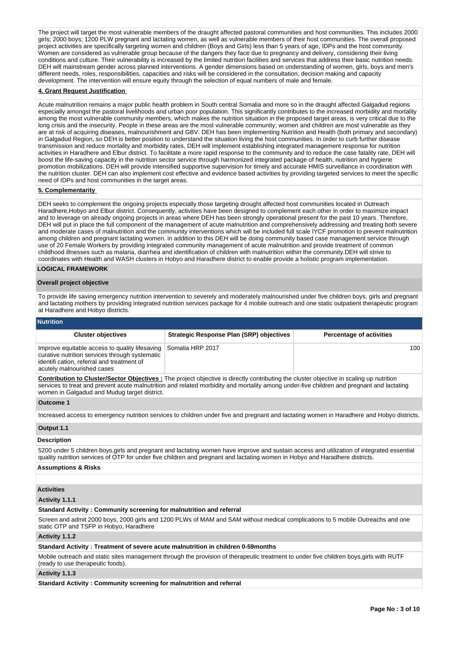The project will target the most vulnerable members of the draught affected pastoral communities and host communities. This includes 2000 girls; 2000 boys; 1200 PLW pregnant and lactating women, as well as vulnerable members of their host communities. The overall proposed project activities are specifically targeting women and children (Boys and Girls) less than 5 years of age, IDPs and the host community. Women are considered as vulnerable group because of the dangers they face due to pregnancy and delivery, considering their living conditions and culture. Their vulnerability is increased by the limited nutrition facilities and services that address their basic nutrition needs. DEH will mainstream gender across planned interventions. A gender dimensions based on understanding of women, girls, boys and men's different needs, roles, responsibilities, capacities and risks will be considered in the consultation, decision making and capacity development. The intervention will ensure equity through the selection of equal numbers of male and female.

#### **4. Grant Request Justification**

Acute malnutrition remains a major public health problem in South central Somalia and more so in the draught affected Galgadud regions especially amongst the pastoral livelihoods and urban poor population. This significantly contributes to the increased morbidity and mortality among the most vulnerable community members, which makes the nutrition situation in the proposed target areas, is very critical due to the long crisis and the insecurity. People in these areas are the most vulnerable community; women and children are most vulnerable as they are at risk of acquiring diseases, malnourishment and GBV. DEH has been implementing Nutrition and Health (both primary and secondary) in Galgadud Region, so DEH is better position to understand the situation living the host communities. In order to curb further disease transmission and reduce mortality and morbidity rates, DEH will implement establishing integrated management response for nutrition activities in Haradhere and Elbur district. To facilitate a more rapid response to the community and to reduce the case fatality rate, DEH will boost the life-saving capacity in the nutrition sector service through harmonized integrated package of health, nutrition and hygiene promotion mobilizations. DEH will provide intensified supportive supervision for timely and accurate HMIS surveillance in coordination with the nutrition cluster. DEH can also implement cost effective and evidence based activities by providing targeted services to meet the specific need of IDPs and host communities in the target areas.

#### **5. Complementarity**

DEH seeks to complement the ongoing projects especially those targeting drought affected host communities located in Outreach Haradhere,Hobyo and Elbur district. Consequently, activities have been designed to complement each other in order to maximize impact and to leverage on already ongoing projects in areas where DEH has been strongly operational present for the past 10 years. Therefore, DEH will put in place the full component of the management of acute malnutrition and comprehensively addressing and treating both severe and moderate cases of malnutrition and the community interventions which will be included full scale IYCF promotion to prevent malnutrition among children and pregnant lactating women. in addition to this DEH will be doing community based case management service through use of 20 Female Workers by providing integrated community management of acute malnutrition and provide treatment of common childhood illnesses such as malaria, diarrhea and identification of children with malnutrition within the community.DEH will strive to coordinates with Health and WASH clusters in Hobyo and Haradhere district to enable provide a holistic program implementation.

# **LOGICAL FRAMEWORK**

#### **Overall project objective**

To provide life saving emergency nutrition intervention to severely and moderately malnourished under five children boys, girls and pregnant and lactating mothers by providing integrated nutrition services package for 4 mobile outreach and one static outpatient therapeutic program at Haradhere and Hobyo districts.

# **Nutrition**

| <b>Cluster objectives</b>                                                                                                                                                                     | <b>Strategic Response Plan (SRP) objectives</b> | <b>Percentage of activities</b> |
|-----------------------------------------------------------------------------------------------------------------------------------------------------------------------------------------------|-------------------------------------------------|---------------------------------|
| Improve equitable access to quality lifesaving Somalia HRP 2017<br>curative nutrition services through systematic<br>identifi cation, referral and treatment of<br>acutely malnourished cases |                                                 | 100                             |

**Contribution to Cluster/Sector Objectives :** The project objective is directly contributing the cluster objective in scaling up nutrition services to treat and prevent acute malnutrition and related morbidity and mortality among under-five children and pregnant and lactating women in Galgadud and Mudug target district.

## **Outcome 1**

Increased access to emergency nutrition services to children under five and pregnant and lactating women in Haradhere and Hobyo districts.

# **Output 1.1**

# **Description**

5200 under 5 children boys,girls and pregnant and lactating women have improve and sustain access and utilization of integrated essential quality nutrition services of OTP for under five children and pregnant and lactating women in Hobyo and Haradhere districts.

# **Assumptions & Risks**

# **Activities**

# **Activity 1.1.1**

# **Standard Activity : Community screening for malnutrition and referral**

Screen and admit 2000 boys, 2000 girls and 1200 PLWs of MAM and SAM without medical complications to 5 mobile Outreachs and one static OTP and TSFP in Hobyo, Haradhere

#### **Activity 1.1.2**

# **Standard Activity : Treatment of severe acute malnutrition in children 0-59months**

Mobile outreach and static sites management through the provision of therapeutic treatment to under five children boys,girls with RUTF (ready to use therapeutic foods).

# **Activity 1.1.3**

**Standard Activity : Community screening for malnutrition and referral**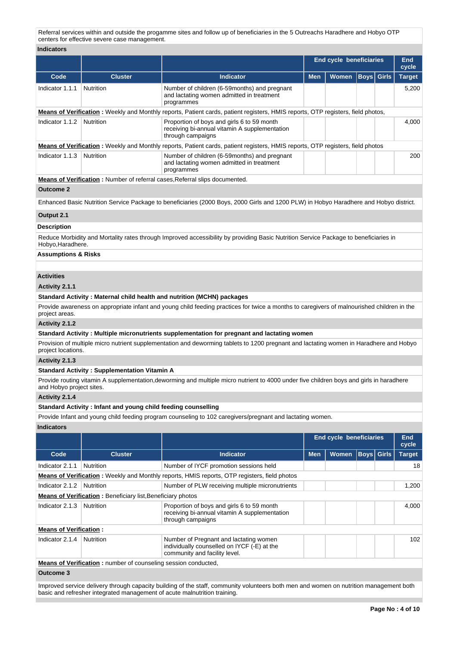Referral services within and outside the progamme sites and follow up of beneficiaries in the 5 Outreachs Haradhere and Hobyo OTP centers for effective severe case management.

| <b>Indicators</b>                                                                                                                              |                                                                    |                                                                                                                                            |            |                                |             |                   |               |  |  |  |  |  |
|------------------------------------------------------------------------------------------------------------------------------------------------|--------------------------------------------------------------------|--------------------------------------------------------------------------------------------------------------------------------------------|------------|--------------------------------|-------------|-------------------|---------------|--|--|--|--|--|
|                                                                                                                                                |                                                                    |                                                                                                                                            |            | <b>End cycle beneficiaries</b> |             |                   | End<br>cycle  |  |  |  |  |  |
| Code                                                                                                                                           | <b>Cluster</b>                                                     | Indicator                                                                                                                                  | <b>Men</b> | Women                          | <b>Boys</b> | Girls             | <b>Target</b> |  |  |  |  |  |
| Indicator 1.1.1                                                                                                                                | Nutrition                                                          | Number of children (6-59months) and pregnant<br>and lactating women admitted in treatment<br>programmes                                    |            |                                |             |                   | 5,200         |  |  |  |  |  |
|                                                                                                                                                |                                                                    | Means of Verification: Weekly and Monthly reports, Patient cards, patient registers, HMIS reports, OTP registers, field photos,            |            |                                |             |                   |               |  |  |  |  |  |
| Indicator 1.1.2                                                                                                                                | Nutrition                                                          | Proportion of boys and girls 6 to 59 month<br>receiving bi-annual vitamin A supplementation<br>through campaigns                           |            |                                |             |                   | 4,000         |  |  |  |  |  |
|                                                                                                                                                |                                                                    | <b>Means of Verification</b> : Weekly and Monthly reports, Patient cards, patient registers, HMIS reports, OTP registers, field photos     |            |                                |             |                   |               |  |  |  |  |  |
| Indicator 1.1.3<br><b>Nutrition</b><br>Number of children (6-59months) and pregnant<br>and lactating women admitted in treatment<br>programmes |                                                                    |                                                                                                                                            |            |                                |             |                   |               |  |  |  |  |  |
|                                                                                                                                                |                                                                    | <b>Means of Verification:</b> Number of referral cases, Referral slips documented.                                                         |            |                                |             |                   |               |  |  |  |  |  |
| <b>Outcome 2</b>                                                                                                                               |                                                                    |                                                                                                                                            |            |                                |             |                   |               |  |  |  |  |  |
|                                                                                                                                                |                                                                    | Enhanced Basic Nutrition Service Package to beneficiaries (2000 Boys, 2000 Girls and 1200 PLW) in Hobyo Haradhere and Hobyo district.      |            |                                |             |                   |               |  |  |  |  |  |
| Output 2.1                                                                                                                                     |                                                                    |                                                                                                                                            |            |                                |             |                   |               |  |  |  |  |  |
| <b>Description</b>                                                                                                                             |                                                                    |                                                                                                                                            |            |                                |             |                   |               |  |  |  |  |  |
| Hobyo, Haradhere.                                                                                                                              |                                                                    | Reduce Morbidity and Mortality rates through Improved accessibility by providing Basic Nutrition Service Package to beneficiaries in       |            |                                |             |                   |               |  |  |  |  |  |
| <b>Assumptions &amp; Risks</b>                                                                                                                 |                                                                    |                                                                                                                                            |            |                                |             |                   |               |  |  |  |  |  |
|                                                                                                                                                |                                                                    |                                                                                                                                            |            |                                |             |                   |               |  |  |  |  |  |
| <b>Activities</b>                                                                                                                              |                                                                    |                                                                                                                                            |            |                                |             |                   |               |  |  |  |  |  |
| Activity 2.1.1                                                                                                                                 |                                                                    |                                                                                                                                            |            |                                |             |                   |               |  |  |  |  |  |
|                                                                                                                                                |                                                                    | Standard Activity: Maternal child health and nutrition (MCHN) packages                                                                     |            |                                |             |                   |               |  |  |  |  |  |
| project areas.                                                                                                                                 |                                                                    | Provide awareness on appropriate infant and young child feeding practices for twice a months to caregivers of malnourished children in the |            |                                |             |                   |               |  |  |  |  |  |
| Activity 2.1.2                                                                                                                                 |                                                                    |                                                                                                                                            |            |                                |             |                   |               |  |  |  |  |  |
|                                                                                                                                                |                                                                    | Standard Activity: Multiple micronutrients supplementation for pregnant and lactating women                                                |            |                                |             |                   |               |  |  |  |  |  |
| project locations.                                                                                                                             |                                                                    | Provision of multiple micro nutrient supplementation and deworming tablets to 1200 pregnant and lactating women in Haradhere and Hobyo     |            |                                |             |                   |               |  |  |  |  |  |
| Activity 2.1.3                                                                                                                                 |                                                                    |                                                                                                                                            |            |                                |             |                   |               |  |  |  |  |  |
|                                                                                                                                                | <b>Standard Activity: Supplementation Vitamin A</b>                |                                                                                                                                            |            |                                |             |                   |               |  |  |  |  |  |
| and Hobyo project sites.                                                                                                                       |                                                                    | Provide routing vitamin A supplementation, deworming and multiple micro nutrient to 4000 under five children boys and girls in haradhere   |            |                                |             |                   |               |  |  |  |  |  |
| Activity 2.1.4                                                                                                                                 |                                                                    |                                                                                                                                            |            |                                |             |                   |               |  |  |  |  |  |
|                                                                                                                                                | Standard Activity: Infant and young child feeding counselling      |                                                                                                                                            |            |                                |             |                   |               |  |  |  |  |  |
|                                                                                                                                                |                                                                    | Provide Infant and young child feeding program counseling to 102 caregivers/pregnant and lactating women.                                  |            |                                |             |                   |               |  |  |  |  |  |
| <b>Indicators</b>                                                                                                                              |                                                                    |                                                                                                                                            |            | <b>End cycle beneficiaries</b> |             |                   | <b>End</b>    |  |  |  |  |  |
|                                                                                                                                                |                                                                    |                                                                                                                                            |            |                                |             |                   | cycle         |  |  |  |  |  |
| Code                                                                                                                                           | <b>Cluster</b>                                                     | <b>Indicator</b>                                                                                                                           | <b>Men</b> | Women                          |             | <b>Boys</b> Girls | <b>Target</b> |  |  |  |  |  |
| Indicator 2.1.1                                                                                                                                | Nutrition                                                          | Number of IYCF promotion sessions held                                                                                                     |            |                                |             |                   | 18            |  |  |  |  |  |
|                                                                                                                                                |                                                                    | <b>Means of Verification</b> : Weekly and Monthly reports, HMIS reports, OTP registers, field photos                                       |            |                                |             |                   |               |  |  |  |  |  |
| Indicator 2.1.2                                                                                                                                | Nutrition                                                          | Number of PLW receiving multiple micronutrients                                                                                            |            |                                |             |                   | 1,200         |  |  |  |  |  |
|                                                                                                                                                | <b>Means of Verification:</b> Beneficiary list, Beneficiary photos |                                                                                                                                            |            |                                |             |                   |               |  |  |  |  |  |
| Indicator 2.1.3                                                                                                                                | Nutrition                                                          | Proportion of boys and girls 6 to 59 month<br>receiving bi-annual vitamin A supplementation<br>through campaigns                           |            |                                |             |                   | 4,000         |  |  |  |  |  |
| <b>Means of Verification:</b>                                                                                                                  |                                                                    |                                                                                                                                            |            |                                |             |                   |               |  |  |  |  |  |
| Indicator 2.1.4                                                                                                                                | Nutrition                                                          | Number of Pregnant and lactating women<br>individually counselled on IYCF (-E) at the<br>community and facility level.                     |            |                                |             |                   | 102           |  |  |  |  |  |
|                                                                                                                                                | Means of Verification: number of counseling session conducted,     |                                                                                                                                            |            |                                |             |                   |               |  |  |  |  |  |

**Outcome 3**

Improved service delivery through capacity building of the staff, community volunteers both men and women on nutrition management both basic and refresher integrated management of acute malnutrition training.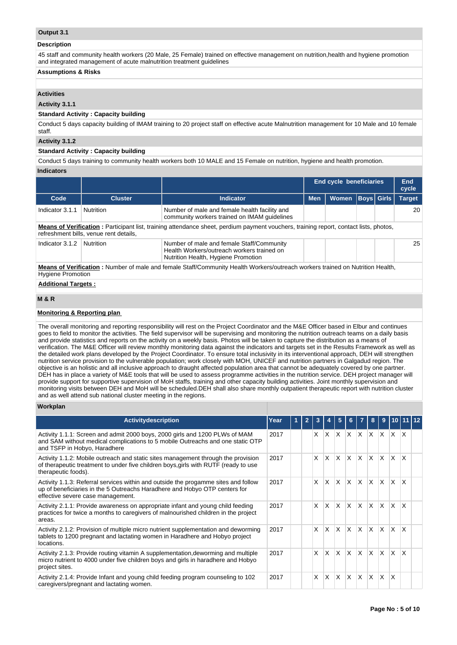## **Output 3.1**

#### **Description**

45 staff and community health workers (20 Male, 25 Female) trained on effective management on nutrition,health and hygiene promotion and integrated management of acute malnutrition treatment guidelines

# **Assumptions & Risks**

# **Activities**

#### **Activity 3.1.1**

# **Standard Activity : Capacity building**

Conduct 5 days capacity building of IMAM training to 20 project staff on effective acute Malnutrition management for 10 Male and 10 female staff.

# **Activity 3.1.2**

#### **Standard Activity : Capacity building**

Conduct 5 days training to community health workers both 10 MALE and 15 Female on nutrition, hygiene and health promotion.

# **Indicators**

|                                                                                                                                                           |                                        |                                                                                                                                               | <b>End cycle beneficiaries</b> |              |  |                   | End<br>cycle  |  |  |  |  |
|-----------------------------------------------------------------------------------------------------------------------------------------------------------|----------------------------------------|-----------------------------------------------------------------------------------------------------------------------------------------------|--------------------------------|--------------|--|-------------------|---------------|--|--|--|--|
| Code                                                                                                                                                      | <b>Cluster</b>                         | <b>Indicator</b>                                                                                                                              | <b>Men</b>                     | <b>Women</b> |  | <b>Boys Girls</b> | <b>Target</b> |  |  |  |  |
| Indicator 3.1.1                                                                                                                                           | <b>Nutrition</b>                       | Number of male and female health facility and<br>community workers trained on IMAM quidelines                                                 |                                |              |  |                   | 20            |  |  |  |  |
|                                                                                                                                                           | refreshment bills, venue rent details, | <b>Means of Verification</b> : Participant list, training attendance sheet, perdium payment vouchers, training report, contact lists, photos, |                                |              |  |                   |               |  |  |  |  |
| Indicator 3.1.2                                                                                                                                           | Nutrition                              | Number of male and female Staff/Community<br>Health Workers/outreach workers trained on<br>Nutrition Health, Hygiene Promotion                |                                |              |  |                   | 25            |  |  |  |  |
| Means of Verification: Number of male and female Staff/Community Health Workers/outreach workers trained on Nutrition Health,<br><b>Hygiene Promotion</b> |                                        |                                                                                                                                               |                                |              |  |                   |               |  |  |  |  |
|                                                                                                                                                           | <b>Additional Targets:</b>             |                                                                                                                                               |                                |              |  |                   |               |  |  |  |  |
| <b>M&amp;R</b>                                                                                                                                            |                                        |                                                                                                                                               |                                |              |  |                   |               |  |  |  |  |

### **M & R**

### **Monitoring & Reporting plan**

The overall monitoring and reporting responsibility will rest on the Project Coordinator and the M&E Officer based in Elbur and continues goes to field to monitor the activities. The field supervisor will be supervising and monitoring the nutrition outreach teams on a daily basis and provide statistics and reports on the activity on a weekly basis. Photos will be taken to capture the distribution as a means of verification. The M&E Officer will review monthly monitoring data against the indicators and targets set in the Results Framework as well as the detailed work plans developed by the Project Coordinator. To ensure total inclusivity in its interventional approach, DEH will strengthen nutrition service provision to the vulnerable population; work closely with MOH, UNICEF and nutrition partners in Galgadud region. The objective is an holistic and all inclusive approach to draught affected population area that cannot be adequately covered by one partner. DEH has in place a variety of M&E tools that will be used to assess programme activities in the nutrition service. DEH project manager will provide support for supportive supervision of MoH staffs, training and other capacity building activities. Joint monthly supervision and monitoring visits between DEH and MoH will be scheduled.DEH shall also share monthly outpatient therapeutic report with nutrition cluster and as well attend sub national cluster meeting in the regions.

#### **Workplan**

| Activitydescription                                                                                                                                                                                   | Year | $\overline{2}$ | 3 |              | 5        | 6            |              | 8                       | 9            | 1011112      |              |  |
|-------------------------------------------------------------------------------------------------------------------------------------------------------------------------------------------------------|------|----------------|---|--------------|----------|--------------|--------------|-------------------------|--------------|--------------|--------------|--|
| Activity 1.1.1: Screen and admit 2000 boys, 2000 girls and 1200 PLWs of MAM<br>and SAM without medical complications to 5 mobile Outreachs and one static OTP<br>and TSFP in Hobyo, Haradhere         | 2017 |                | X | ΙX.          | $\times$ | $\times$     | ΙX.          | ΙX.                     | $\mathsf{X}$ | <b>X</b>     | <sup>X</sup> |  |
| Activity 1.1.2: Mobile outreach and static sites management through the provision<br>of therapeutic treatment to under five children boys, girls with RUTF (ready to use<br>therapeutic foods).       | 2017 |                | X | X.           | $\times$ | $\times$     | <b>X</b>     | $\mathsf{x}$            | X            | $\times$     | $\mathsf{x}$ |  |
| Activity 1.1.3: Referral services within and outside the progamme sites and follow<br>up of beneficiaries in the 5 Outreachs Haradhere and Hobyo OTP centers for<br>effective severe case management. | 2017 |                | X | X.           | X        | $\times$     | X            | $\mathsf{X}$            | X.           | $\times$     | X            |  |
| Activity 2.1.1: Provide awareness on appropriate infant and young child feeding<br>practices for twice a months to caregivers of malnourished children in the project<br>areas.                       | 2017 |                | X | X.           | $\times$ | $\times$     | X            | X                       | X            | $\times$     | $\mathsf{x}$ |  |
| Activity 2.1.2: Provision of multiple micro nutrient supplementation and deworming<br>tablets to 1200 pregnant and lactating women in Haradhere and Hobyo project<br>locations.                       | 2017 |                | X | X.           | X        | $\times$     | X            | $\mathsf{X}$            | X            | $\times$     | $\times$     |  |
| Activity 2.1.3: Provide routing vitamin A supplementation, deworming and multiple<br>micro nutrient to 4000 under five children boys and girls in haradhere and Hobyo<br>project sites.               | 2017 |                | X | <b>X</b>     | $\times$ | $\mathsf{x}$ | $\mathsf{x}$ | $\overline{\mathsf{x}}$ | ΙX.          | $\times$     | $\mathsf{x}$ |  |
| Activity 2.1.4: Provide Infant and young child feeding program counseling to 102<br>caregivers/pregnant and lactating women.                                                                          | 2017 |                | X | <sup>X</sup> | X        | X            | X            | $\overline{\mathsf{x}}$ | IX.          | $\mathsf{x}$ |              |  |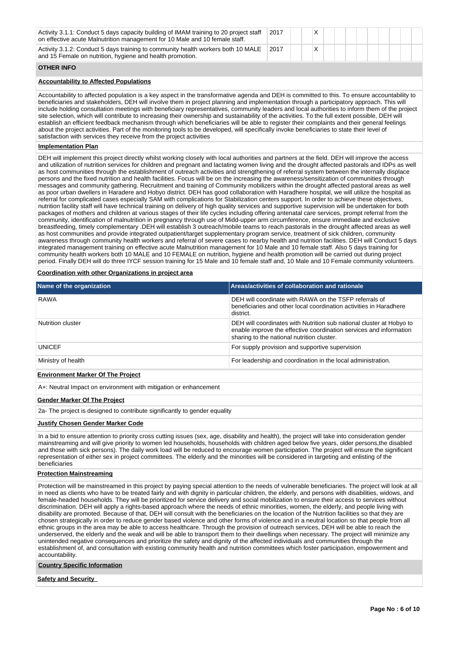| Activity 3.1.1: Conduct 5 days capacity building of IMAM training to 20 project staff<br>on effective acute Malnutrition management for 10 Male and 10 female staff.                                                                                                                                                                                                                                                                                                                                                                                                                                                                                                                                                                                                                                                                                                                                                                                                                                                                                                                                                                                                               | 2017 | X |  |  |  |
|------------------------------------------------------------------------------------------------------------------------------------------------------------------------------------------------------------------------------------------------------------------------------------------------------------------------------------------------------------------------------------------------------------------------------------------------------------------------------------------------------------------------------------------------------------------------------------------------------------------------------------------------------------------------------------------------------------------------------------------------------------------------------------------------------------------------------------------------------------------------------------------------------------------------------------------------------------------------------------------------------------------------------------------------------------------------------------------------------------------------------------------------------------------------------------|------|---|--|--|--|
| Activity 3.1.2: Conduct 5 days training to community health workers both 10 MALE<br>and 15 Female on nutrition, hygiene and health promotion.                                                                                                                                                                                                                                                                                                                                                                                                                                                                                                                                                                                                                                                                                                                                                                                                                                                                                                                                                                                                                                      | 2017 | X |  |  |  |
| <b>OTHER INFO</b>                                                                                                                                                                                                                                                                                                                                                                                                                                                                                                                                                                                                                                                                                                                                                                                                                                                                                                                                                                                                                                                                                                                                                                  |      |   |  |  |  |
| <b>Accountability to Affected Populations</b>                                                                                                                                                                                                                                                                                                                                                                                                                                                                                                                                                                                                                                                                                                                                                                                                                                                                                                                                                                                                                                                                                                                                      |      |   |  |  |  |
| Accountability to affected population is a key aspect in the transformative agenda and DEH is committed to this. To ensure accountability to<br>beneficiaries and stakeholders, DEH will involve them in project planning and implementation through a participatory approach. This will<br>include holding consultation meetings with beneficiary representatives, community leaders and local authorities to inform them of the project<br>site selection, which will contribute to increasing their ownership and sustainability of the activities. To the full extent possible, DEH will<br>establish an efficient feedback mechanism through which beneficiaries will be able to register their complaints and their general feelings<br>about the project activities. Part of the monitoring tools to be developed, will specifically invoke beneficiaries to state their level of<br>satisfaction with services they receive from the project activities                                                                                                                                                                                                                    |      |   |  |  |  |
| <b>Implementation Plan</b>                                                                                                                                                                                                                                                                                                                                                                                                                                                                                                                                                                                                                                                                                                                                                                                                                                                                                                                                                                                                                                                                                                                                                         |      |   |  |  |  |
| DEH will implement this project directly whilst working closely with local authorities and partners at the field. DEH will improve the access<br>and utilization of nutrition services for children and pregnant and lactating women living and the drought affected pastorals and IDPs as well<br>as host communities through the establishment of outreach activities and strengthening of referral system between the internally displace<br>persons and the fixed nutrition and health facilities. Focus will be on the increasing the awareness/sensitization of communities through<br>messages and community gathering. Recruitment and training of Community mobilizers within the drought affected pastoral areas as well<br>as poor urban dwellers in Haradere and Hobyo district. DEH has good collaboration with Haradhere hospital, we will utilize the hospital as<br>referral for complicated cases especially SAM with complications for Stabilization centers support. In order to achieve these objectives,<br>nutrition facility staff will have technical training on delivery of high quality services and supportive supervision will be undertaken for both |      |   |  |  |  |

nutrition facility staff will have technical training on delivery of high quality services and supportive supervision will be undertaken for both packages of mothers and children at various stages of their life cycles including offering antenatal care services, prompt referral from the community, identification of malnutrition in pregnancy through use of Midd-upper arm circumference, ensure immediate and exclusive breastfeeding, timely complementary .DEH will establish 3 outreach/mobile teams to reach pastorals in the drought affected areas as well as host communities and provide integrated outpatient/target supplementary program service, treatment of sick children, community awareness through community health workers and referral of severe cases to nearby health and nutrition facilities. DEH will Conduct 5 days integrated management training on effective acute Malnutrition management for 10 Male and 10 female staff. Also 5 days training for community health workers both 10 MALE and 10 FEMALE on nutrition, hygiene and health promotion will be carried out during project period. Finally DEH will do three IYCF session training for 15 Male and 10 female staff and, 10 Male and 10 Female community volunteers.

#### **Coordination with other Organizations in project area**

| Name of the organization                 | Areas/activities of collaboration and rationale                                                                                                                                          |
|------------------------------------------|------------------------------------------------------------------------------------------------------------------------------------------------------------------------------------------|
| <b>RAWA</b>                              | DEH will coordinate with RAWA on the TSFP referrals of<br>beneficiaries and other local coordination activities in Haradhere<br>district.                                                |
| Nutrition cluster                        | DEH will coordinates with Nutrition sub national cluster at Hobyo to<br>enable improve the effective coordination services and information<br>sharing to the national nutrition cluster. |
| <b>UNICEF</b>                            | For supply provision and supportive supervision                                                                                                                                          |
| Ministry of health                       | For leadership and coordination in the local administration.                                                                                                                             |
| <b>Environment Marker Of The Project</b> |                                                                                                                                                                                          |

A+: Neutral Impact on environment with mitigation or enhancement

# **Gender Marker Of The Project**

2a- The project is designed to contribute significantly to gender equality

# **Justify Chosen Gender Marker Code**

In a bid to ensure attention to priority cross cutting issues (sex, age, disability and health), the project will take into consideration gender mainstreaming and will give priority to women led households, households with children aged below five years, older persons,the disabled and those with sick persons). The daily work load will be reduced to encourage women participation. The project will ensure the significant representation of either sex in project committees. The elderly and the minorities will be considered in targeting and enlisting of the beneficiaries

## **Protection Mainstreaming**

Protection will be mainstreamed in this project by paying special attention to the needs of vulnerable beneficiaries. The project will look at all in need as clients who have to be treated fairly and with dignity in particular children, the elderly, and persons with disabilities, widows, and female-headed households. They will be prioritized for service delivery and social mobilization to ensure their access to services without discrimination. DEH will apply a rights-based approach where the needs of ethnic minorities, women, the elderly, and people living with disability are promoted. Because of that, DEH will consult with the beneficiaries on the location of the Nutrition facilities so that they are chosen strategically in order to reduce gender based violence and other forms of violence and in a neutral location so that people from all ethnic groups in the area may be able to access healthcare. Through the provision of outreach services, DEH will be able to reach the underserved, the elderly and the weak and will be able to transport them to their dwellings when necessary. The project will minimize any unintended negative consequences and prioritize the safety and dignity of the affected individuals and communities through the establishment of, and consultation with existing community health and nutrition committees which foster participation, empowerment and accountability.

#### **Country Specific Information**

**Safety and Security**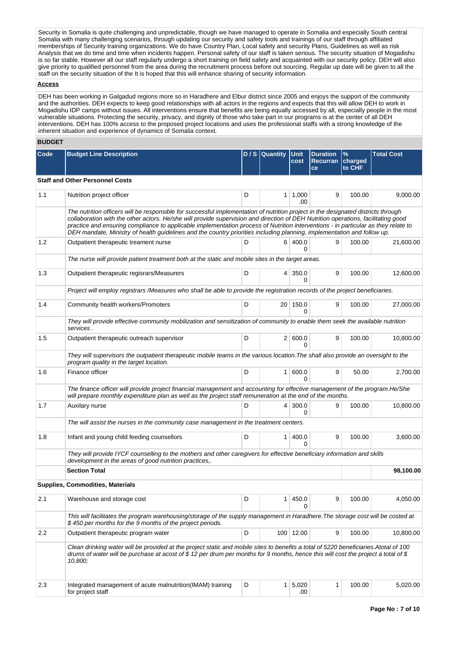Security in Somalia is quite challenging and unpredictable, though we have managed to operate in Somalia and especially South central Somalia with many challenging scenarios, through updating our security and safety tools and trainings of our staff through affiliated memberships of Security training organizations. We do have Country Plan, Local safety and security Plans, Guidelines as well as risk Analysis that we do time and time when incidents happen. Personal safety of our staff is taken serious. The security situation of Mogadishu is so far stable. However all our staff regularly undergo a short training on field safety and acquainted with our security policy. DEH will also give priority to qualified personnel from the area during the recruitment process before out sourcing. Regular up date will be given to all the staff on the security situation of the It is hoped that this will enhance sharing of security information.

## **Access**

DEH has been working in Galgadud regions more so in Haradhere and Elbur district since 2005 and enjoys the support of the community and the authorities. DEH expects to keep good relationships with all actors in the regions and expects that this will allow DEH to work in Mogadishu IDP camps without issues. All interventions ensure that benefits are being equally accessed by all, especially people in the most vulnerable situations. Protecting the security, privacy, and dignity of those who take part in our programs is at the center of all DEH interventions. DEH has 100% access to the proposed project locations and uses the professional staffs with a strong knowledge of the inherent situation and experience of dynamics of Somalia context.

#### **BUDGET**

| Code | <b>Budget Line Description</b>                                                                                                                                                                                                                                                                                                                                                                                                                                                                                                          | D/S | <b>Quantity</b> | <b>Unit</b><br>cost    | <b>Duration</b><br><b>Recurran</b><br>ce | $\%$<br>charged<br>to CHF | <b>Total Cost</b> |
|------|-----------------------------------------------------------------------------------------------------------------------------------------------------------------------------------------------------------------------------------------------------------------------------------------------------------------------------------------------------------------------------------------------------------------------------------------------------------------------------------------------------------------------------------------|-----|-----------------|------------------------|------------------------------------------|---------------------------|-------------------|
|      | <b>Staff and Other Personnel Costs</b>                                                                                                                                                                                                                                                                                                                                                                                                                                                                                                  |     |                 |                        |                                          |                           |                   |
| 1.1  | Nutrition project officer                                                                                                                                                                                                                                                                                                                                                                                                                                                                                                               | D   |                 | 1 1,000<br>.00         | 9                                        | 100.00                    | 9,000.00          |
|      | The nutrition officers will be responsible for successful implementation of nutrition project in the designated districts through<br>collaboration with the other actors. He/she will provide supervision and direction of DEH Nutrition operations, facilitating good<br>practice and ensuring compliance to applicable implementation process of Nutrition interventions - in particular as they relate to<br>DEH mandate, Ministry of health guidelines and the country priorities including planning, implementation and follow up. |     |                 |                        |                                          |                           |                   |
| 1.2  | Outpatient therapeutic treament nurse                                                                                                                                                                                                                                                                                                                                                                                                                                                                                                   | D   |                 | 6 400.0<br>0           | 9                                        | 100.00                    | 21,600.00         |
|      | The nurse will provide patient treatment both at the static and mobile sites in the target areas.                                                                                                                                                                                                                                                                                                                                                                                                                                       |     |                 |                        |                                          |                           |                   |
| 1.3  | Outpatient therapeutic regisrars/Measurers                                                                                                                                                                                                                                                                                                                                                                                                                                                                                              | D   |                 | $4 \mid 350.0$<br>0    | 9                                        | 100.00                    | 12,600.00         |
|      | Project will employ registrars /Measures who shall be able to provide the registration records of the project beneficiaries.                                                                                                                                                                                                                                                                                                                                                                                                            |     |                 |                        |                                          |                           |                   |
| 1.4  | Community health workers/Promoters                                                                                                                                                                                                                                                                                                                                                                                                                                                                                                      | D   |                 | 20 150.0<br>0          | 9                                        | 100.00                    | 27,000.00         |
|      | They will provide effective community mobilization and sensitization of community to enable them seek the available nutrition<br>services.                                                                                                                                                                                                                                                                                                                                                                                              |     |                 |                        |                                          |                           |                   |
| 1.5  | Outpatient therapeutic outreach supervisor                                                                                                                                                                                                                                                                                                                                                                                                                                                                                              | D   |                 | 2   600.0<br>0         | 9                                        | 100.00                    | 10,800.00         |
|      | They will supervisors the outpatient therapeutic mobile teams in the various location. The shall also provide an oversight to the<br>program quality in the target location.                                                                                                                                                                                                                                                                                                                                                            |     |                 |                        |                                          |                           |                   |
| 1.6  | Finance officer                                                                                                                                                                                                                                                                                                                                                                                                                                                                                                                         | D   |                 | 1   600.0<br>0         | 9                                        | 50.00                     | 2,700.00          |
|      | The finance officer will provide project financial management and accounting for effective management of the program.He/She<br>will prepare monthly expenditure plan as well as the project staff remuneration at the end of the months.                                                                                                                                                                                                                                                                                                |     |                 |                        |                                          |                           |                   |
| 1.7  | Auxilary nurse                                                                                                                                                                                                                                                                                                                                                                                                                                                                                                                          | D   |                 | 4 300.0<br>0           | 9                                        | 100.00                    | 10,800.00         |
|      | The will assist the nurses in the community case management in the treatment centers.                                                                                                                                                                                                                                                                                                                                                                                                                                                   |     |                 |                        |                                          |                           |                   |
| 1.8  | Infant and young child feeding counsellors                                                                                                                                                                                                                                                                                                                                                                                                                                                                                              | D   |                 | 1   400.0<br>0         | 9                                        | 100.00                    | 3,600.00          |
|      | They will provide IYCF counselling to the mothers and other caregivers for effective beneficiary information and skills<br>development in the areas of good nutrition practices,.                                                                                                                                                                                                                                                                                                                                                       |     |                 |                        |                                          |                           |                   |
|      | <b>Section Total</b>                                                                                                                                                                                                                                                                                                                                                                                                                                                                                                                    |     |                 |                        |                                          |                           | 98,100.00         |
|      | Supplies, Commodities, Materials                                                                                                                                                                                                                                                                                                                                                                                                                                                                                                        |     |                 |                        |                                          |                           |                   |
| 2.1  | Warehouse and storage cost                                                                                                                                                                                                                                                                                                                                                                                                                                                                                                              | D   | 1 <sup>1</sup>  | 450.0                  | 9                                        | 100.00                    | 4,050.00          |
|      | This will facilitates the program warehousing/storage of the supply management in Haradhere. The storage cost will be costed at<br>\$450 per months for the 9 months of the project periods.                                                                                                                                                                                                                                                                                                                                            |     |                 |                        |                                          |                           |                   |
| 2.2  | Outpatient therapeutic program water                                                                                                                                                                                                                                                                                                                                                                                                                                                                                                    | D   |                 | 100 12.00              | 9                                        | 100.00                    | 10,800.00         |
|      | Clean drinking water will be provided at the project static and mobile sites to benefits a total of 5220 beneficiaries. Atotal of 100<br>drums of water will be purchase at acost of \$12 per drum per months for 9 months, hence this will cost the project a total of \$<br>10,800;                                                                                                                                                                                                                                                   |     |                 |                        |                                          |                           |                   |
| 2.3  | Integrated management of acute malnutrition(IMAM) training<br>for project staff                                                                                                                                                                                                                                                                                                                                                                                                                                                         | D   |                 | $1 \mid 5,020$<br>.00. | 1                                        | 100.00                    | 5,020.00          |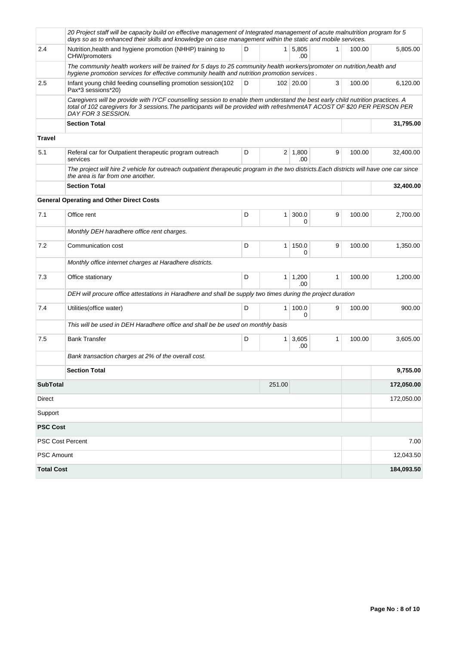|                           | 20 Project staff will be capacity build on effective management of Integrated management of acute malnutrition program for 5<br>days so as to enhanced their skills and knowledge on case management within the static and mobile services.                                       |   |                |                       |   |        |            |  |
|---------------------------|-----------------------------------------------------------------------------------------------------------------------------------------------------------------------------------------------------------------------------------------------------------------------------------|---|----------------|-----------------------|---|--------|------------|--|
| 2.4                       | Nutrition, health and hygiene promotion (NHHP) training to<br>CHW/promoters                                                                                                                                                                                                       | D |                | $1 \mid 5,805$<br>.00 | 1 | 100.00 | 5,805.00   |  |
|                           | The community health workers will be trained for 5 days to 25 community health workers/promoter on nutrition,health and<br>hygiene promotion services for effective community health and nutrition promotion services.                                                            |   |                |                       |   |        |            |  |
| 2.5                       | Infant young child feeding counselling promotion session(102<br>D<br>102 20.00<br>3<br>Pax*3 sessions*20)                                                                                                                                                                         |   |                |                       |   |        | 6,120.00   |  |
|                           | Caregivers will be provide with IYCF counselling session to enable them understand the best early child nutrition practices. A<br>total of 102 caregivers for 3 sessions. The participants will be provided with refreshmentAT ACOST OF \$20 PER PERSON PER<br>DAY FOR 3 SESSION. |   |                |                       |   |        |            |  |
|                           | <b>Section Total</b>                                                                                                                                                                                                                                                              |   | 31,795.00      |                       |   |        |            |  |
| <b>Travel</b>             |                                                                                                                                                                                                                                                                                   |   |                |                       |   |        |            |  |
| 5.1                       | Referal car for Outpatient therapeutic program outreach<br>services                                                                                                                                                                                                               | D |                | $2 \mid 1,800$<br>.00 | 9 | 100.00 | 32,400.00  |  |
|                           | The project will hire 2 vehicle for outreach outpatient therapeutic program in the two districts. Each districts will have one car since<br>the area is far from one another.                                                                                                     |   |                |                       |   |        |            |  |
|                           | <b>Section Total</b>                                                                                                                                                                                                                                                              |   | 32,400.00      |                       |   |        |            |  |
|                           | <b>General Operating and Other Direct Costs</b>                                                                                                                                                                                                                                   |   |                |                       |   |        |            |  |
| 7.1                       | Office rent                                                                                                                                                                                                                                                                       | D | 1 <sup>1</sup> | 300.0<br>0            | 9 | 100.00 | 2,700.00   |  |
|                           | Monthly DEH haradhere office rent charges.                                                                                                                                                                                                                                        |   |                |                       |   |        |            |  |
| 7.2                       | Communication cost                                                                                                                                                                                                                                                                | D | 1 <sup>1</sup> | 150.0<br>0            | 9 | 100.00 | 1,350.00   |  |
|                           | Monthly office internet charges at Haradhere districts.                                                                                                                                                                                                                           |   |                |                       |   |        |            |  |
| 7.3                       | Office stationary                                                                                                                                                                                                                                                                 | D |                | $1 \mid 1,200$<br>.00 | 1 | 100.00 | 1,200.00   |  |
|                           | DEH will procure office attestations in Haradhere and shall be supply two times during the project duration                                                                                                                                                                       |   |                |                       |   |        |            |  |
| 7.4                       | Utilities (office water)                                                                                                                                                                                                                                                          | D | 1 <sup>1</sup> | 100.0<br>$\Omega$     | 9 | 100.00 | 900.00     |  |
|                           | This will be used in DEH Haradhere office and shall be be used on monthly basis                                                                                                                                                                                                   |   |                |                       |   |        |            |  |
| 7.5                       | <b>Bank Transfer</b>                                                                                                                                                                                                                                                              | D | 1 <sup>1</sup> | 3,605<br>.00          | 1 | 100.00 | 3,605.00   |  |
|                           | Bank transaction charges at 2% of the overall cost.                                                                                                                                                                                                                               |   |                |                       |   |        |            |  |
|                           | <b>Section Total</b>                                                                                                                                                                                                                                                              |   |                |                       |   |        | 9,755.00   |  |
| <b>SubTotal</b><br>251.00 |                                                                                                                                                                                                                                                                                   |   |                |                       |   |        | 172,050.00 |  |
| Direct                    |                                                                                                                                                                                                                                                                                   |   |                |                       |   |        | 172,050.00 |  |
| Support                   |                                                                                                                                                                                                                                                                                   |   |                |                       |   |        |            |  |
| <b>PSC Cost</b>           |                                                                                                                                                                                                                                                                                   |   |                |                       |   |        |            |  |
| PSC Cost Percent          |                                                                                                                                                                                                                                                                                   |   |                |                       |   |        | 7.00       |  |
| PSC Amount                |                                                                                                                                                                                                                                                                                   |   |                |                       |   |        | 12,043.50  |  |
| <b>Total Cost</b>         |                                                                                                                                                                                                                                                                                   |   |                |                       |   |        | 184,093.50 |  |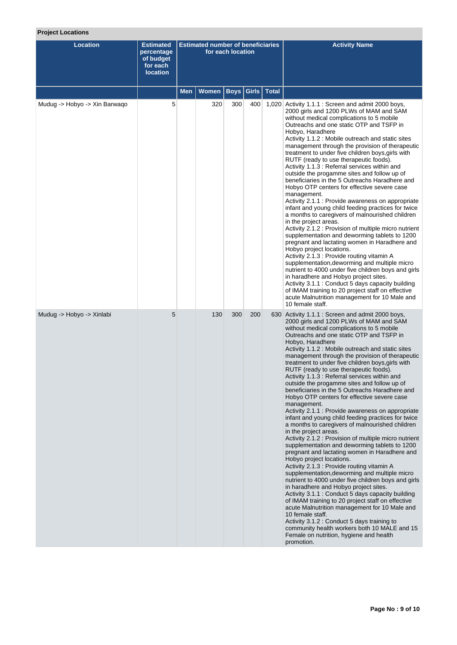# **Project Locations**

| <b>Location</b>               | <b>Estimated</b><br>percentage<br>of budget<br>for each<br><b>location</b> | <b>Estimated number of beneficiaries</b><br>for each location |              |             |       |              | <b>Activity Name</b>                                                                                                                                                                                                                                                                                                                                                                                                                                                                                                                                                                                                                                                                                                                                                                                                                                                                                                                                                                                                                                                                                                                                                                                                                                                                                                                                                                                                                                                                                                                               |
|-------------------------------|----------------------------------------------------------------------------|---------------------------------------------------------------|--------------|-------------|-------|--------------|----------------------------------------------------------------------------------------------------------------------------------------------------------------------------------------------------------------------------------------------------------------------------------------------------------------------------------------------------------------------------------------------------------------------------------------------------------------------------------------------------------------------------------------------------------------------------------------------------------------------------------------------------------------------------------------------------------------------------------------------------------------------------------------------------------------------------------------------------------------------------------------------------------------------------------------------------------------------------------------------------------------------------------------------------------------------------------------------------------------------------------------------------------------------------------------------------------------------------------------------------------------------------------------------------------------------------------------------------------------------------------------------------------------------------------------------------------------------------------------------------------------------------------------------------|
|                               |                                                                            | Men                                                           | <b>Women</b> | <b>Boys</b> | Girls | <b>Total</b> |                                                                                                                                                                                                                                                                                                                                                                                                                                                                                                                                                                                                                                                                                                                                                                                                                                                                                                                                                                                                                                                                                                                                                                                                                                                                                                                                                                                                                                                                                                                                                    |
| Mudug -> Hobyo -> Xin Barwaqo | 5                                                                          |                                                               | 320          | 300         | 400   |              | 1,020 Activity 1.1.1 : Screen and admit 2000 boys,<br>2000 girls and 1200 PLWs of MAM and SAM<br>without medical complications to 5 mobile<br>Outreachs and one static OTP and TSFP in<br>Hobyo, Haradhere<br>Activity 1.1.2 : Mobile outreach and static sites<br>management through the provision of therapeutic<br>treatment to under five children boys, girls with<br>RUTF (ready to use therapeutic foods).<br>Activity 1.1.3 : Referral services within and<br>outside the progamme sites and follow up of<br>beneficiaries in the 5 Outreachs Haradhere and<br>Hobyo OTP centers for effective severe case<br>management.<br>Activity 2.1.1 : Provide awareness on appropriate<br>infant and young child feeding practices for twice<br>a months to caregivers of malnourished children<br>in the project areas.<br>Activity 2.1.2 : Provision of multiple micro nutrient<br>supplementation and deworming tablets to 1200<br>pregnant and lactating women in Haradhere and<br>Hobyo project locations.<br>Activity 2.1.3 : Provide routing vitamin A<br>supplementation, deworming and multiple micro<br>nutrient to 4000 under five children boys and girls<br>in haradhere and Hobyo project sites.<br>Activity 3.1.1 : Conduct 5 days capacity building<br>of IMAM training to 20 project staff on effective<br>acute Malnutrition management for 10 Male and<br>10 female staff.                                                                                                                                                      |
| Mudug -> Hobyo -> Xinlabi     | 5                                                                          |                                                               | 130          | 300         | 200   |              | 630 Activity 1.1.1 : Screen and admit 2000 boys,<br>2000 girls and 1200 PLWs of MAM and SAM<br>without medical complications to 5 mobile<br>Outreachs and one static OTP and TSFP in<br>Hobyo, Haradhere<br>Activity 1.1.2 : Mobile outreach and static sites<br>management through the provision of therapeutic<br>treatment to under five children boys, girls with<br>RUTF (ready to use therapeutic foods).<br>Activity 1.1.3 : Referral services within and<br>outside the progamme sites and follow up of<br>beneficiaries in the 5 Outreachs Haradhere and<br>Hobyo OTP centers for effective severe case<br>management.<br>Activity 2.1.1 : Provide awareness on appropriate<br>infant and young child feeding practices for twice<br>a months to caregivers of malnourished children<br>in the project areas.<br>Activity 2.1.2 : Provision of multiple micro nutrient<br>supplementation and deworming tablets to 1200<br>pregnant and lactating women in Haradhere and<br>Hobyo project locations.<br>Activity 2.1.3 : Provide routing vitamin A<br>supplementation, deworming and multiple micro<br>nutrient to 4000 under five children boys and girls<br>in haradhere and Hobyo project sites.<br>Activity 3.1.1: Conduct 5 days capacity building<br>of IMAM training to 20 project staff on effective<br>acute Malnutrition management for 10 Male and<br>10 female staff.<br>Activity 3.1.2 : Conduct 5 days training to<br>community health workers both 10 MALE and 15<br>Female on nutrition, hygiene and health<br>promotion. |